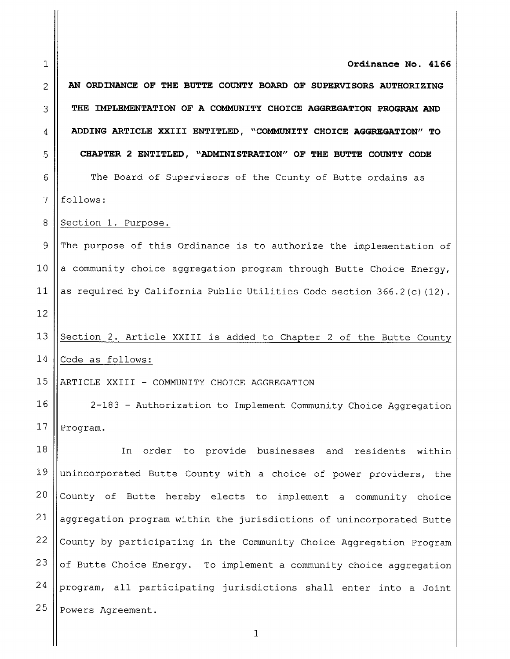1 2 3 4 5 6 7 8 9 10 11 12 13 14 15 16 17 18 19 20 21 22 23 24 25 Ordinance No. 4166 AN ORDINANCE OF THE BUTTE COUNTY BOARD OF SUPERVISORS AUTHORIZING THE IMPLEMENTATION OF A COMMUNITY CHOICE AGGREGATION PROGRAM AND ADDING ARTICLE XXIII ENTITLED, " COMMUNITY CHOICE AGGREGATION" TO CHAPTER 2 ENTITLED, " ADMINISTRATION" OF THE BUTTE COUNTY CODE The Board of Supervisors of the County of Butte ordains as follows: Section 1. Purpose. The purpose of this Ordinance is to authorize the implementation of <sup>a</sup> community choice aggregation program through Butte Choice Energy, as required by California Public Utilities Code section  $366.2(c)$  (12). Section 2. Article XXIII is added to Chapter <sup>2</sup> of the Butte County Code as follows: ARTICLE XXIII - COMMUNITY CHOICE AGGREGATION 2- 183 - Authorization to Implement Community Choice Aggregation Program. In order to provide businesses and residents within unincorporated Butte County with <sup>a</sup> choice of power providers, the County of Butte hereby elects to implement <sup>a</sup> community choice aggregation program within the jurisdictions of unincorporated Butte County by participating in the Community Choice Aggregation Program of Butte Choice Energy. To implement <sup>a</sup> community choice aggregation program, all participating jurisdictions shall enter into <sup>a</sup> Joint Powers Agreement.

1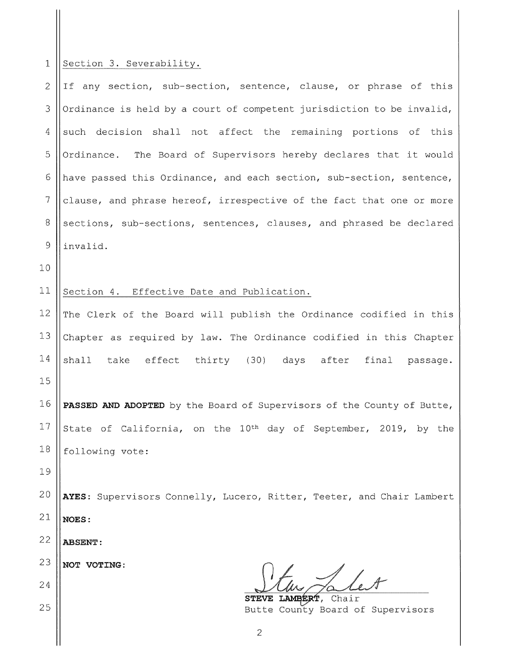## 1 Section 3. Severability.

 $\parallel$ 

| $\overline{c}$ | If any section, sub-section, sentence, clause, or phrase of this            |
|----------------|-----------------------------------------------------------------------------|
| 3              | Ordinance is held by a court of competent jurisdiction to be invalid,       |
| 4              | such decision shall not affect the remaining portions of this               |
| 5              | Ordinance. The Board of Supervisors hereby declares that it would           |
| 6              | have passed this Ordinance, and each section, sub-section, sentence,        |
| 7              | clause, and phrase hereof, irrespective of the fact that one or more        |
| $8\,$          | sections, sub-sections, sentences, clauses, and phrased be declared         |
| 9              | invalid.                                                                    |
| 10             |                                                                             |
| 11             | Section 4. Effective Date and Publication.                                  |
| 12             | The Clerk of the Board will publish the Ordinance codified in this          |
| 13             | Chapter as required by law. The Ordinance codified in this Chapter          |
| 14             | shall take effect thirty (30) days after final passage.                     |
| 15             |                                                                             |
| 16             | PASSED AND ADOPTED by the Board of Supervisors of the County of Butte,      |
| 17             | State of California, on the 10 <sup>th</sup> day of September, 2019, by the |
| 18             | following vote:                                                             |
| 19             |                                                                             |
| 20             | AYES: Supervisors Connelly, Lucero, Ritter, Teeter, and Chair Lambert       |
| 21             | NOES:                                                                       |
| 22             | <b>ABSENT:</b>                                                              |
| 23             | NOT VOTING:                                                                 |
| 24             |                                                                             |
| 25             | STEVE LAMBERT,<br>Chair<br>Butte County Board of Supervisors                |

<sup>2</sup>